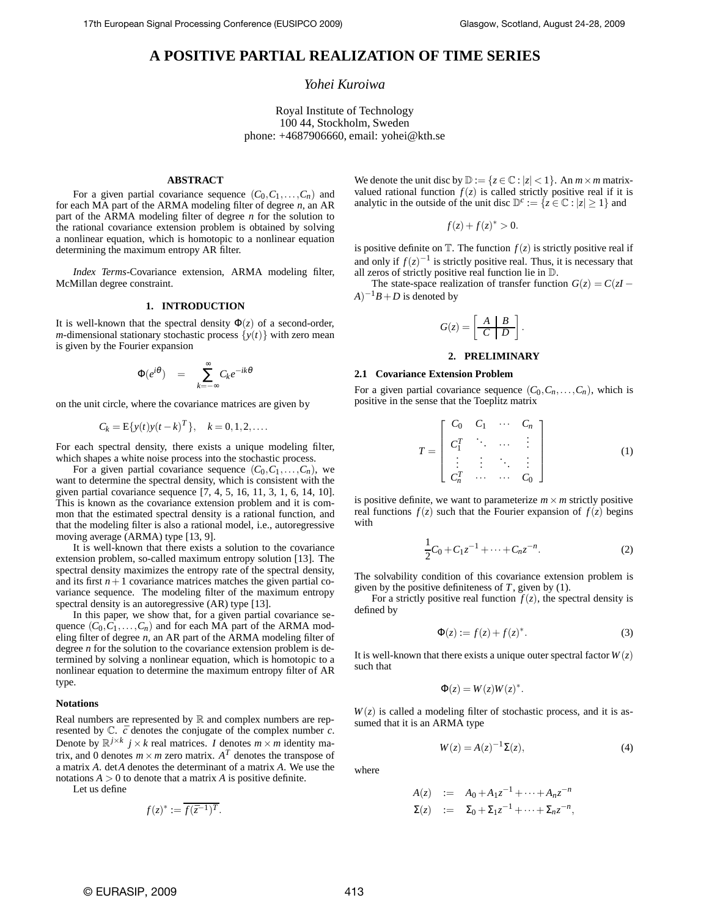# **A POSITIVE PARTIAL REALIZATION OF TIME SERIES**

# *Yohei Kuroiwa*

Royal Institute of Technology 100 44, Stockholm, Sweden phone: +4687906660, email: yohei@kth.se

## **ABSTRACT**

For a given partial covariance sequence  $(C_0, C_1, \ldots, C_n)$  and for each MA part of the ARMA modeling filter of degree *n*, an AR part of the ARMA modeling filter of degree *n* for the solution to the rational covariance extension problem is obtained by solving a nonlinear equation, which is homotopic to a nonlinear equation determining the maximum entropy AR filter.

*Index Terms*-Covariance extension, ARMA modeling filter, McMillan degree constraint.

# **1. INTRODUCTION**

It is well-known that the spectral density  $\Phi(z)$  of a second-order, *m*-dimensional stationary stochastic process  $\{y(t)\}\$  with zero mean is given by the Fourier expansion

$$
\Phi(e^{i\theta}) = \sum_{k=-\infty}^{\infty} C_k e^{-ik\theta}
$$

on the unit circle, where the covariance matrices are given by

$$
C_k = \mathbb{E}\{y(t)y(t-k)^T\}, \quad k = 0, 1, 2, \dots.
$$

For each spectral density, there exists a unique modeling filter, which shapes a white noise process into the stochastic process.

For a given partial covariance sequence  $(C_0, C_1, \ldots, C_n)$ , we want to determine the spectral density, which is consistent with the given partial covariance sequence [7, 4, 5, 16, 11, 3, 1, 6, 14, 10]. This is known as the covariance extension problem and it is common that the estimated spectral density is a rational function, and that the modeling filter is also a rational model, i.e., autoregressive moving average (ARMA) type [13, 9].

It is well-known that there exists a solution to the covariance extension problem, so-called maximum entropy solution [13]. The spectral density maximizes the entropy rate of the spectral density, and its first  $n+1$  covariance matrices matches the given partial covariance sequence. The modeling filter of the maximum entropy spectral density is an autoregressive (AR) type [13].

In this paper, we show that, for a given partial covariance sequence  $(C_0, C_1, \ldots, C_n)$  and for each MA part of the ARMA modeling filter of degree *n*, an AR part of the ARMA modeling filter of degree *n* for the solution to the covariance extension problem is determined by solving a nonlinear equation, which is homotopic to a nonlinear equation to determine the maximum entropy filter of AR type.

## **Notations**

Real numbers are represented by  $\mathbb R$  and complex numbers are represented by  $\mathbb{C}$ .  $\bar{c}$  denotes the conjugate of the complex number  $c$ . Denote by  $\mathbb{R}^{j \times k}$   $j \times k$  real matrices. *I* denotes  $m \times m$  identity matrix, and 0 denotes  $m \times m$  zero matrix.  $A<sup>T</sup>$  denotes the transpose of a matrix *A*. det*A* denotes the determinant of a matrix *A*. We use the notations  $A > 0$  to denote that a matrix  $A$  is positive definite.

Let us define

$$
f(z)^* := \overline{f(\overline{z}^{-1})^T}.
$$

We denote the unit disc by  $\mathbb{D} := \{z \in \mathbb{C} : |z| < 1\}$ . An  $m \times m$  matrixvalued rational function  $f(z)$  is called strictly positive real if it is analytic in the outside of the unit disc  $\mathbb{D}^c := \{z \in \mathbb{C} : |z| \ge 1\}$  and

$$
f(z) + f(z)^* > 0.
$$

is positive definite on  $\mathbb{T}$ . The function  $f(z)$  is strictly positive real if and only if  $f(z)^{-1}$  is strictly positive real. Thus, it is necessary that all zeros of strictly positive real function lie in D.

The state-space realization of transfer function  $G(z) = C(zI - zI)$  $(A)^{-1}B + D$  is denoted by

$$
G(z) = \left[ \begin{array}{c|c} A & B \\ \hline C & D \end{array} \right].
$$

#### **2. PRELIMINARY**

#### **2.1 Covariance Extension Problem**

For a given partial covariance sequence  $(C_0, C_n, \ldots, C_n)$ , which is positive in the sense that the Toeplitz matrix

$$
T = \begin{bmatrix} C_0 & C_1 & \cdots & C_n \\ C_1^T & \ddots & \cdots & \vdots \\ \vdots & \vdots & \ddots & \vdots \\ C_n^T & \cdots & \cdots & C_0 \end{bmatrix}
$$
 (1)

is positive definite, we want to parameterize  $m \times m$  strictly positive real functions  $f(z)$  such that the Fourier expansion of  $f(z)$  begins with

$$
\frac{1}{2}C_0 + C_1 z^{-1} + \dots + C_n z^{-n}.
$$
 (2)

The solvability condition of this covariance extension problem is given by the positive definiteness of *T*, given by (1).

For a strictly positive real function  $f(z)$ , the spectral density is defined by

$$
\Phi(z) := f(z) + f(z)^*.
$$
\n(3)

It is well-known that there exists a unique outer spectral factor  $W(z)$ such that

$$
\Phi(z) = W(z)W(z)^*.
$$

 $W(z)$  is called a modeling filter of stochastic process, and it is assumed that it is an ARMA type

$$
W(z) = A(z)^{-1} \Sigma(z),\tag{4}
$$

where

$$
A(z) := A_0 + A_1 z^{-1} + \dots + A_n z^{-n}
$$
  
\n
$$
\Sigma(z) := \Sigma_0 + \Sigma_1 z^{-1} + \dots + \Sigma_n z^{-n},
$$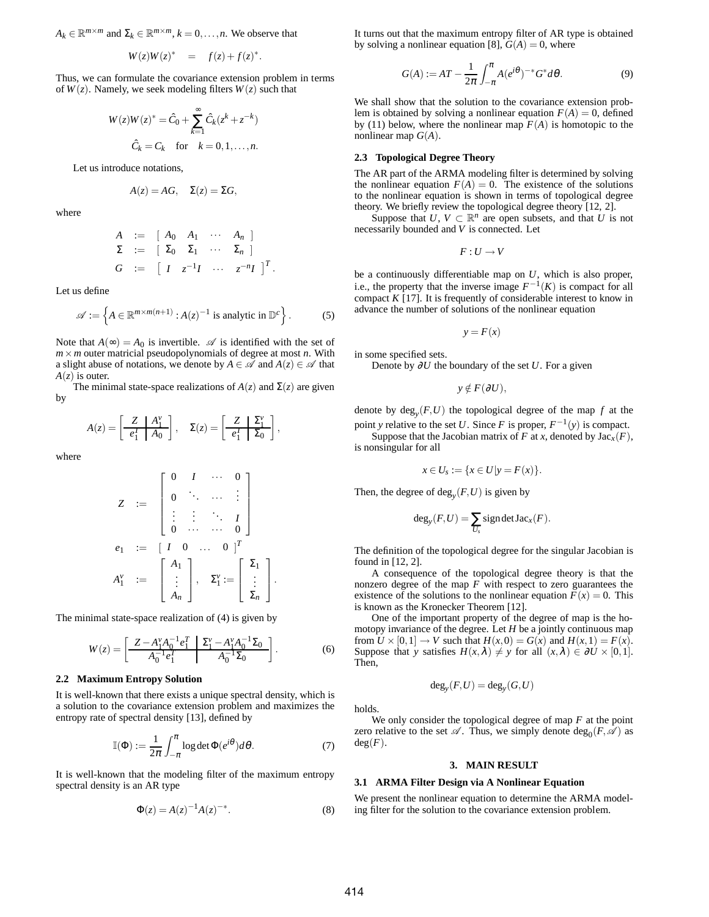$A_k \in \mathbb{R}^{m \times m}$  and  $\Sigma_k \in \mathbb{R}^{m \times m}$ ,  $k = 0, \dots, n$ . We observe that

$$
W(z)W(z)^* = f(z) + f(z)^*.
$$

Thus, we can formulate the covariance extension problem in terms of  $W(z)$ . Namely, we seek modeling filters  $W(z)$  such that

$$
W(z)W(z)^{*} = \hat{C}_0 + \sum_{k=1}^{\infty} \hat{C}_k (z^k + z^{-k})
$$
  

$$
\hat{C}_k = C_k \text{ for } k = 0, 1, ..., n.
$$

Let us introduce notations,

$$
A(z) = AG, \quad \Sigma(z) = \Sigma G,
$$

where

$$
A := [A_0 \ A_1 \ \cdots \ A_n]
$$
  
\n
$$
\Sigma := [ \Sigma_0 \ \Sigma_1 \ \cdots \ \Sigma_n ]
$$
  
\n
$$
G := [ I \ z^{-1} I \ \cdots \ z^{-n} I ]^T.
$$

Let us define

$$
\mathscr{A} := \left\{ A \in \mathbb{R}^{m \times m(n+1)} : A(z)^{-1} \text{ is analytic in } \mathbb{D}^c \right\}.
$$
 (5)

Note that  $A(\infty) = A_0$  is invertible.  $\mathscr A$  is identified with the set of  $m \times m$  outer matricial pseudopolynomials of degree at most *n*. With a slight abuse of notations, we denote by  $A \in \mathcal{A}$  and  $A(z) \in \mathcal{A}$  that  $A(z)$  is outer.

The minimal state-space realizations of  $A(z)$  and  $\Sigma(z)$  are given by

,

$$
A(z) = \left[\begin{array}{c|c} Z & A_1^{\nu} \\ \hline e_1^T & A_0 \end{array}\right], \quad \Sigma(z) = \left[\begin{array}{c|c} Z & \Sigma_1^{\nu} \\ \hline e_1^T & \Sigma_0 \end{array}\right]
$$

where

$$
Z := \begin{bmatrix} 0 & I & \cdots & 0 \\ 0 & \ddots & \cdots & \vdots \\ \vdots & \vdots & \ddots & I \\ 0 & \cdots & \cdots & 0 \end{bmatrix}
$$
  
\n
$$
e_1 := \begin{bmatrix} I & 0 & \cdots & 0 \end{bmatrix}^T
$$
  
\n
$$
A_1^{\nu} := \begin{bmatrix} A_1 \\ \vdots \\ A_n \end{bmatrix}, \quad \Sigma_1^{\nu} := \begin{bmatrix} \Sigma_1 \\ \vdots \\ \Sigma_n \end{bmatrix}.
$$

The minimal state-space realization of (4) is given by

$$
W(z) = \left[ \begin{array}{c|c} Z - A_1^{\nu} A_0^{-1} e_1^T & \Sigma_1^{\nu} - A_1^{\nu} A_0^{-1} \Sigma_0 \\ \hline A_0^{-1} e_1^T & A_0^{-1} \Sigma_0 \end{array} \right].
$$
 (6)

#### **2.2 Maximum Entropy Solution**

It is well-known that there exists a unique spectral density, which is a solution to the covariance extension problem and maximizes the entropy rate of spectral density [13], defined by

$$
\mathbb{I}(\Phi) := \frac{1}{2\pi} \int_{-\pi}^{\pi} \log \det \Phi(e^{i\theta}) d\theta.
$$
 (7)

It is well-known that the modeling filter of the maximum entropy spectral density is an AR type

$$
\Phi(z) = A(z)^{-1} A(z)^{-*}.
$$
 (8)

It turns out that the maximum entropy filter of AR type is obtained by solving a nonlinear equation [8],  $G(A) = 0$ , where

$$
G(A) := AT - \frac{1}{2\pi} \int_{-\pi}^{\pi} A(e^{i\theta})^{-*} G^* d\theta.
$$
 (9)

We shall show that the solution to the covariance extension problem is obtained by solving a nonlinear equation  $F(A) = 0$ , defined by (11) below, where the nonlinear map  $F(A)$  is homotopic to the nonlinear map  $G(A)$ .

### **2.3 Topological Degree Theory**

The AR part of the ARMA modeling filter is determined by solving the nonlinear equation  $F(A) = 0$ . The existence of the solutions to the nonlinear equation is shown in terms of topological degree theory. We briefly review the topological degree theory [12, 2].

Suppose that  $U, V \subset \mathbb{R}^n$  are open subsets, and that  $U$  is not necessarily bounded and *V* is connected. Let

$$
F:U\to V
$$

be a continuously differentiable map on *U*, which is also proper, i.e., the property that the inverse image  $F^{-1}(K)$  is compact for all compact  $K$  [17]. It is frequently of considerable interest to know in advance the number of solutions of the nonlinear equation

 $y = F(x)$ 

in some specified sets.

Denote by ∂*U* the boundary of the set *U*. For a given

$$
y \notin F(\partial U),
$$

denote by  $deg_y(F, U)$  the topological degree of the map  $f$  at the point *y* relative to the set *U*. Since *F* is proper,  $F^{-1}(y)$  is compact.

Suppose that the Jacobian matrix of *F* at *x*, denoted by  $Jac_x(F)$ , is nonsingular for all

$$
x \in U_s := \{x \in U | y = F(x) \}.
$$

Then, the degree of  $deg_y(F, U)$  is given by

$$
\deg_y(F, U) = \sum_{U_s} sign \det \operatorname{Jac}_x(F).
$$

The definition of the topological degree for the singular Jacobian is found in [12, 2].

A consequence of the topological degree theory is that the nonzero degree of the map *F* with respect to zero guarantees the existence of the solutions to the nonlinear equation  $F(x) = 0$ . This is known as the Kronecker Theorem [12].

One of the important property of the degree of map is the homotopy invariance of the degree. Let *H* be a jointly continuous map from  $U \times [0,1] \rightarrow V$  such that  $H(x,0) = G(x)$  and  $H(x,1) = F(x)$ . Suppose that *y* satisfies  $H(x, \lambda) \neq y$  for all  $(x, \lambda) \in \partial U \times [0, 1]$ . Then,

$$
\deg_y(F, U) = \deg_y(G, U)
$$

holds.

We only consider the topological degree of map *F* at the point zero relative to the set  $\mathscr A$ . Thus, we simply denote  $\deg_0(F, \mathscr A)$  as  $deg(F)$ .

## **3. MAIN RESULT**

#### **3.1 ARMA Filter Design via A Nonlinear Equation**

We present the nonlinear equation to determine the ARMA modeling filter for the solution to the covariance extension problem.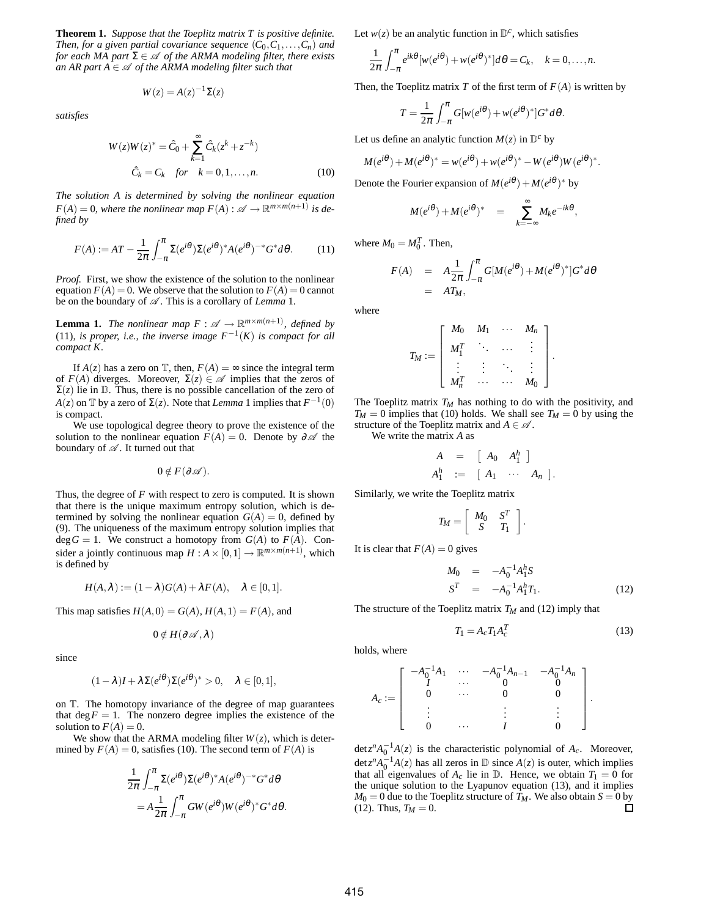**Theorem 1.** *Suppose that the Toeplitz matrix T is positive definite. Then, for a given partial covariance sequence*  $(C_0, C_1, \ldots, C_n)$  *and for each MA part*  $\Sigma \in \mathcal{A}$  *of the ARMA modeling filter, there exists an AR part A*  $\in \mathcal{A}$  *of the ARMA modeling filter such that* 

$$
W(z) = A(z)^{-1} \Sigma(z)
$$

*satisfies*

$$
W(z)W(z)^{*} = \hat{C}_0 + \sum_{k=1}^{\infty} \hat{C}_k (z^k + z^{-k})
$$
  

$$
\hat{C}_k = C_k \quad \text{for} \quad k = 0, 1, ..., n.
$$
 (10)

*The solution A is determined by solving the nonlinear equation*  $F(A) = 0$ , where the nonlinear map  $F(A)$  :  $\mathscr{A} \to \mathbb{R}^{m \times m(n+1)}$  is de*fined by*

$$
F(A) := AT - \frac{1}{2\pi} \int_{-\pi}^{\pi} \Sigma(e^{i\theta}) \Sigma(e^{i\theta})^* A(e^{i\theta})^{-*} G^* d\theta.
$$
 (11)

*Proof.* First, we show the existence of the solution to the nonlinear equation  $F(A) = 0$ . We observe that the solution to  $F(A) = 0$  cannot be on the boundary of  $\mathcal A$ . This is a corollary of *Lemma* 1.

**Lemma 1.** The nonlinear map  $F : \mathscr{A} \to \mathbb{R}^{m \times m(n+1)}$ , defined by (11), *is proper, i.e., the inverse image*  $F^{-1}(K)$  *is compact for all compact K.*

If  $A(z)$  has a zero on  $\mathbb{T}$ , then,  $F(A) = \infty$  since the integral term of  $F(A)$  diverges. Moreover,  $\Sigma(z) \in \mathscr{A}$  implies that the zeros of  $\Sigma(z)$  lie in D. Thus, there is no possible cancellation of the zero of  $A(z)$  on  $\mathbb T$  by a zero of  $\Sigma(z)$ . Note that *Lemma* 1 implies that  $F^{-1}(0)$ is compact.

We use topological degree theory to prove the existence of the solution to the nonlinear equation  $F(A) = 0$ . Denote by  $\partial \mathscr{A}$  the boundary of  $\mathcal A$  . It turned out that

 $0 \notin F(\partial \mathscr{A}).$ 

Thus, the degree of *F* with respect to zero is computed. It is shown that there is the unique maximum entropy solution, which is determined by solving the nonlinear equation  $G(A) = 0$ , defined by (9). The uniqueness of the maximum entropy solution implies that deg  $G = 1$ . We construct a homotopy from  $G(A)$  to  $F(A)$ . Consider a jointly continuous map  $H: A \times [0,1] \to \mathbb{R}^{m \times m(n+1)}$ , which is defined by

$$
H(A,\lambda) := (1-\lambda)G(A) + \lambda F(A), \quad \lambda \in [0,1].
$$

This map satisfies  $H(A,0) = G(A), H(A,1) = F(A)$ , and

$$
0\notin H(\partial\mathscr{A},\lambda)
$$

since

$$
(1 - \lambda)I + \lambda \Sigma(e^{i\theta})\Sigma(e^{i\theta})^* > 0, \quad \lambda \in [0, 1],
$$

on T. The homotopy invariance of the degree of map guarantees that  $\deg F = 1$ . The nonzero degree implies the existence of the solution to  $F(A) = 0$ .

We show that the ARMA modeling filter  $W(z)$ , which is determined by  $F(A) = 0$ , satisfies (10). The second term of  $F(A)$  is

$$
\frac{1}{2\pi} \int_{-\pi}^{\pi} \Sigma(e^{i\theta}) \Sigma(e^{i\theta})^* A(e^{i\theta})^{-*} G^* d\theta
$$

$$
= A \frac{1}{2\pi} \int_{-\pi}^{\pi} G W(e^{i\theta}) W(e^{i\theta})^* G^* d\theta.
$$

Let  $w(z)$  be an analytic function in  $\mathbb{D}^c$ , which satisfies

$$
\frac{1}{2\pi}\int_{-\pi}^{\pi}e^{ik\theta}[w(e^{i\theta})+w(e^{i\theta})^*]d\theta=C_k, \quad k=0,\ldots,n.
$$

Then, the Toeplitz matrix *T* of the first term of  $F(A)$  is written by

$$
T = \frac{1}{2\pi} \int_{-\pi}^{\pi} G[w(e^{i\theta}) + w(e^{i\theta})^*]G^*d\theta.
$$

Let us define an analytic function  $M(z)$  in  $D^c$  by

$$
M(e^{i\theta}) + M(e^{i\theta})^* = w(e^{i\theta}) + w(e^{i\theta})^* - W(e^{i\theta})W(e^{i\theta})^*.
$$

Denote the Fourier expansion of  $M(e^{i\theta}) + M(e^{i\theta})^*$  by

$$
M(e^{i\theta}) + M(e^{i\theta})^* = \sum_{k=-\infty}^{\infty} M_k e^{-ik\theta},
$$

where  $M_0 = M_0^T$ . Then,

$$
F(A) = A \frac{1}{2\pi} \int_{-\pi}^{\pi} G[M(e^{i\theta}) + M(e^{i\theta})^*] G^* d\theta
$$
  
=  $AT_M$ ,

where

$$
T_M := \left[ \begin{array}{cccc} M_0 & M_1 & \cdots & M_n \\ M_1^T & \ddots & \cdots & \vdots \\ \vdots & \vdots & \ddots & \vdots \\ M_n^T & \cdots & \cdots & M_0 \end{array} \right].
$$

The Toeplitz matrix *T<sup>M</sup>* has nothing to do with the positivity, and  $T_M = 0$  implies that (10) holds. We shall see  $T_M = 0$  by using the structure of the Toeplitz matrix and  $A \in \mathcal{A}$ .

We write the matrix *A* as

$$
A = [A_0 \ A_1^h]
$$
  

$$
A_1^h := [A_1 \cdots A_n].
$$

Similarly, we write the Toeplitz matrix

$$
T_M = \left[ \begin{array}{cc} M_0 & S^T \\ S & T_1 \end{array} \right].
$$

It is clear that  $F(A) = 0$  gives

$$
M_0 = -A_0^{-1} A_1^h S
$$
  
\n
$$
S^T = -A_0^{-1} A_1^h T_1.
$$
\n(12)

The structure of the Toeplitz matrix  $T_M$  and (12) imply that

$$
T_1 = A_c T_1 A_c^T \tag{13}
$$

holds, where

$$
A_c := \left[ \begin{array}{cccc} -A_0^{-1}A_1 & \cdots & -A_0^{-1}A_{n-1} & -A_0^{-1}A_n \\ I & \cdots & 0 & 0 \\ 0 & \cdots & 0 & 0 \\ \vdots & & \vdots & \vdots \\ 0 & \cdots & I & 0 \end{array} \right].
$$

det $z^n A_0^{-1}A(z)$  is the characteristic polynomial of  $A_c$ . Moreover, det $z^n A_0^{-1}A(z)$  has all zeros in  $\mathbb D$  since  $A(z)$  is outer, which implies that all eigenvalues of  $A_c$  lie in  $\mathbb{D}$ . Hence, we obtain  $T_1 = 0$  for the unique solution to the Lyapunov equation (13), and it implies  $M_0 = 0$  due to the Toeplitz structure of  $T_M$ . We also obtain  $S = 0$  by (12). Thus,  $T_M = 0$ .  $(12)$ . Thus,  $T_M = 0$ .